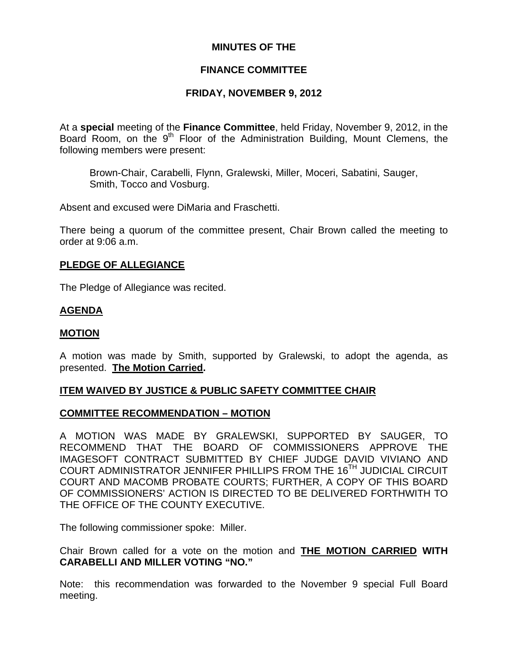# **MINUTES OF THE**

# **FINANCE COMMITTEE**

# **FRIDAY, NOVEMBER 9, 2012**

At a **special** meeting of the **Finance Committee**, held Friday, November 9, 2012, in the Board Room, on the  $9<sup>th</sup>$  Floor of the Administration Building, Mount Clemens, the following members were present:

Brown-Chair, Carabelli, Flynn, Gralewski, Miller, Moceri, Sabatini, Sauger, Smith, Tocco and Vosburg.

Absent and excused were DiMaria and Fraschetti.

There being a quorum of the committee present, Chair Brown called the meeting to order at 9:06 a.m.

## **PLEDGE OF ALLEGIANCE**

The Pledge of Allegiance was recited.

# **AGENDA**

## **MOTION**

A motion was made by Smith, supported by Gralewski, to adopt the agenda, as presented. **The Motion Carried.** 

## **ITEM WAIVED BY JUSTICE & PUBLIC SAFETY COMMITTEE CHAIR**

## **COMMITTEE RECOMMENDATION – MOTION**

A MOTION WAS MADE BY GRALEWSKI, SUPPORTED BY SAUGER, TO RECOMMEND THAT THE BOARD OF COMMISSIONERS APPROVE THE IMAGESOFT CONTRACT SUBMITTED BY CHIEF JUDGE DAVID VIVIANO AND COURT ADMINISTRATOR JENNIFER PHILLIPS FROM THE 16TH JUDICIAL CIRCUIT COURT AND MACOMB PROBATE COURTS; FURTHER, A COPY OF THIS BOARD OF COMMISSIONERS' ACTION IS DIRECTED TO BE DELIVERED FORTHWITH TO THE OFFICE OF THE COUNTY EXECUTIVE.

The following commissioner spoke: Miller.

Chair Brown called for a vote on the motion and **THE MOTION CARRIED WITH CARABELLI AND MILLER VOTING "NO."** 

Note: this recommendation was forwarded to the November 9 special Full Board meeting.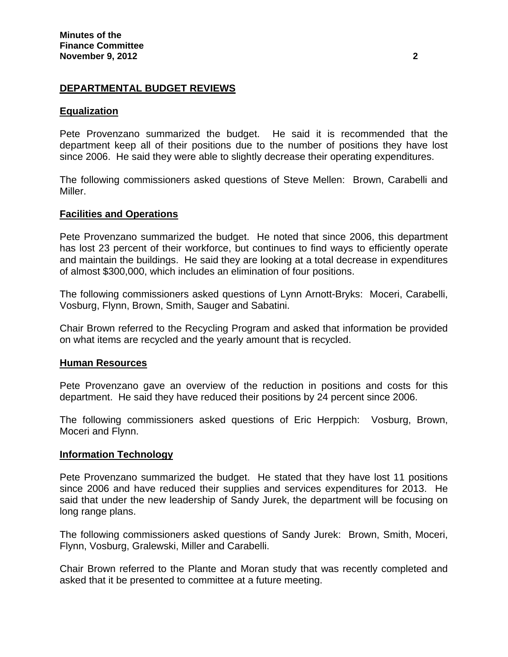# **DEPARTMENTAL BUDGET REVIEWS**

# **Equalization**

Pete Provenzano summarized the budget. He said it is recommended that the department keep all of their positions due to the number of positions they have lost since 2006. He said they were able to slightly decrease their operating expenditures.

The following commissioners asked questions of Steve Mellen: Brown, Carabelli and Miller.

# **Facilities and Operations**

Pete Provenzano summarized the budget. He noted that since 2006, this department has lost 23 percent of their workforce, but continues to find ways to efficiently operate and maintain the buildings. He said they are looking at a total decrease in expenditures of almost \$300,000, which includes an elimination of four positions.

The following commissioners asked questions of Lynn Arnott-Bryks: Moceri, Carabelli, Vosburg, Flynn, Brown, Smith, Sauger and Sabatini.

Chair Brown referred to the Recycling Program and asked that information be provided on what items are recycled and the yearly amount that is recycled.

## **Human Resources**

Pete Provenzano gave an overview of the reduction in positions and costs for this department. He said they have reduced their positions by 24 percent since 2006.

The following commissioners asked questions of Eric Herppich: Vosburg, Brown, Moceri and Flynn.

## **Information Technology**

Pete Provenzano summarized the budget. He stated that they have lost 11 positions since 2006 and have reduced their supplies and services expenditures for 2013. He said that under the new leadership of Sandy Jurek, the department will be focusing on long range plans.

The following commissioners asked questions of Sandy Jurek: Brown, Smith, Moceri, Flynn, Vosburg, Gralewski, Miller and Carabelli.

Chair Brown referred to the Plante and Moran study that was recently completed and asked that it be presented to committee at a future meeting.